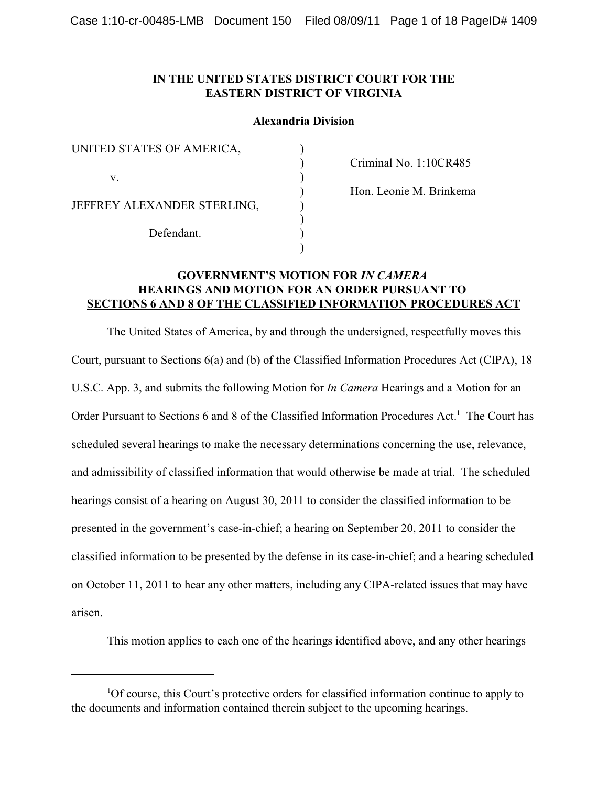# **IN THE UNITED STATES DISTRICT COURT FOR THE EASTERN DISTRICT OF VIRGINIA**

## **Alexandria Division**

| UNITED STATES OF AMERICA,                 |  |
|-------------------------------------------|--|
|                                           |  |
| V                                         |  |
| JEFFREY ALEXANDER STERLING,<br>Defendant. |  |
|                                           |  |
|                                           |  |
|                                           |  |

Criminal No. 1:10CR485

Hon. Leonie M. Brinkema

# **GOVERNMENT'S MOTION FOR** *IN CAMERA*  **HEARINGS AND MOTION FOR AN ORDER PURSUANT TO SECTIONS 6 AND 8 OF THE CLASSIFIED INFORMATION PROCEDURES ACT**

)

The United States of America, by and through the undersigned, respectfully moves this Court, pursuant to Sections 6(a) and (b) of the Classified Information Procedures Act (CIPA), 18 U.S.C. App. 3, and submits the following Motion for *In Camera* Hearings and a Motion for an Order Pursuant to Sections 6 and 8 of the Classified Information Procedures  $Act.$ <sup>1</sup> The Court has scheduled several hearings to make the necessary determinations concerning the use, relevance, and admissibility of classified information that would otherwise be made at trial. The scheduled hearings consist of a hearing on August 30, 2011 to consider the classified information to be presented in the government's case-in-chief; a hearing on September 20, 2011 to consider the classified information to be presented by the defense in its case-in-chief; and a hearing scheduled on October 11, 2011 to hear any other matters, including any CIPA-related issues that may have arisen.

This motion applies to each one of the hearings identified above, and any other hearings

 ${}^{1}$ Of course, this Court's protective orders for classified information continue to apply to the documents and information contained therein subject to the upcoming hearings.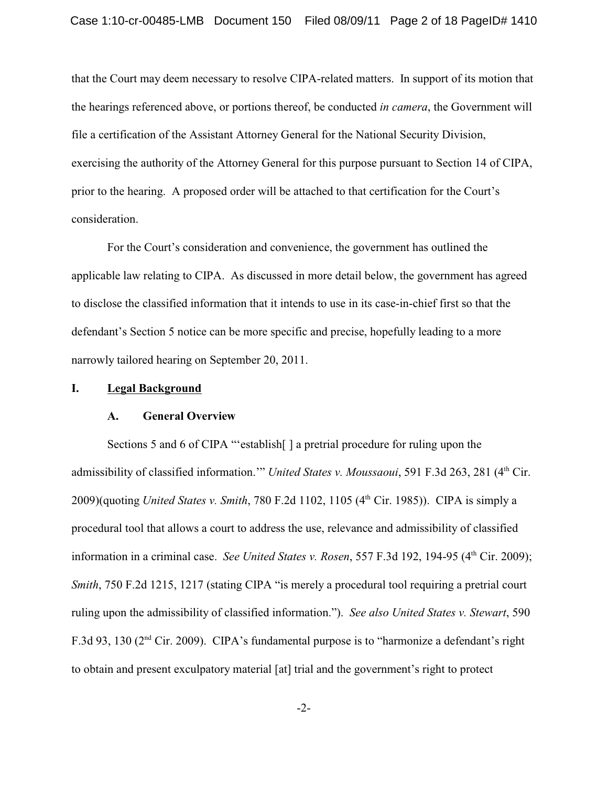that the Court may deem necessary to resolve CIPA-related matters. In support of its motion that the hearings referenced above, or portions thereof, be conducted *in camera*, the Government will file a certification of the Assistant Attorney General for the National Security Division, exercising the authority of the Attorney General for this purpose pursuant to Section 14 of CIPA, prior to the hearing. A proposed order will be attached to that certification for the Court's consideration.

For the Court's consideration and convenience, the government has outlined the applicable law relating to CIPA. As discussed in more detail below, the government has agreed to disclose the classified information that it intends to use in its case-in-chief first so that the defendant's Section 5 notice can be more specific and precise, hopefully leading to a more narrowly tailored hearing on September 20, 2011.

#### **I. Legal Background**

## **A. General Overview**

Sections 5 and 6 of CIPA "'establish | a pretrial procedure for ruling upon the admissibility of classified information." *United States v. Moussaoui*, 591 F.3d 263, 281 (4<sup>th</sup> Cir. 2009)(quoting *United States v. Smith*, 780 F.2d 1102, 1105 (4<sup>th</sup> Cir. 1985)). CIPA is simply a procedural tool that allows a court to address the use, relevance and admissibility of classified information in a criminal case. *See United States v. Rosen*, 557 F.3d 192, 194-95 (4<sup>th</sup> Cir. 2009); *Smith*, 750 F.2d 1215, 1217 (stating CIPA "is merely a procedural tool requiring a pretrial court ruling upon the admissibility of classified information."). *See also United States v. Stewart*, 590 F.3d 93, 130 ( $2<sup>nd</sup>$  Cir. 2009). CIPA's fundamental purpose is to "harmonize a defendant's right to obtain and present exculpatory material [at] trial and the government's right to protect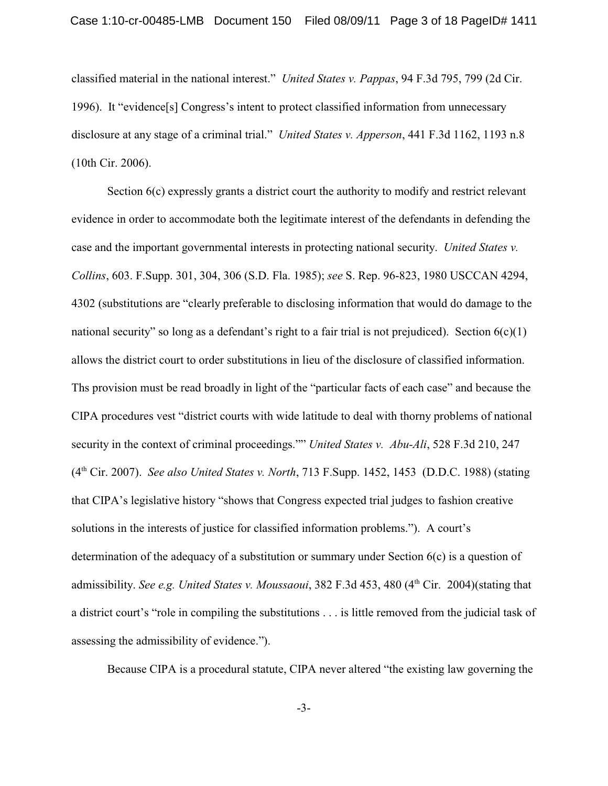classified material in the national interest." *United States v. Pappas*, 94 F.3d 795, 799 (2d Cir. 1996). It "evidence[s] Congress's intent to protect classified information from unnecessary disclosure at any stage of a criminal trial." *United States v. Apperson*, 441 F.3d 1162, 1193 n.8 (10th Cir. 2006).

Section 6(c) expressly grants a district court the authority to modify and restrict relevant evidence in order to accommodate both the legitimate interest of the defendants in defending the case and the important governmental interests in protecting national security. *United States v. Collins*, 603. F.Supp. 301, 304, 306 (S.D. Fla. 1985); *see* S. Rep. 96-823, 1980 USCCAN 4294, 4302 (substitutions are "clearly preferable to disclosing information that would do damage to the national security" so long as a defendant's right to a fair trial is not prejudiced). Section  $6(c)(1)$ allows the district court to order substitutions in lieu of the disclosure of classified information. Ths provision must be read broadly in light of the "particular facts of each case" and because the CIPA procedures vest "district courts with wide latitude to deal with thorny problems of national security in the context of criminal proceedings."" *United States v. Abu-Ali*, 528 F.3d 210, 247 (4<sup>th</sup> Cir. 2007). *See also United States v. North*, 713 F.Supp. 1452, 1453 (D.D.C. 1988) (stating that CIPA's legislative history "shows that Congress expected trial judges to fashion creative solutions in the interests of justice for classified information problems."). A court's determination of the adequacy of a substitution or summary under Section 6(c) is a question of admissibility. *See e.g. United States v. Moussaoui*, 382 F.3d 453, 480 (4<sup>th</sup> Cir. 2004)(stating that a district court's "role in compiling the substitutions . . . is little removed from the judicial task of assessing the admissibility of evidence.").

Because CIPA is a procedural statute, CIPA never altered "the existing law governing the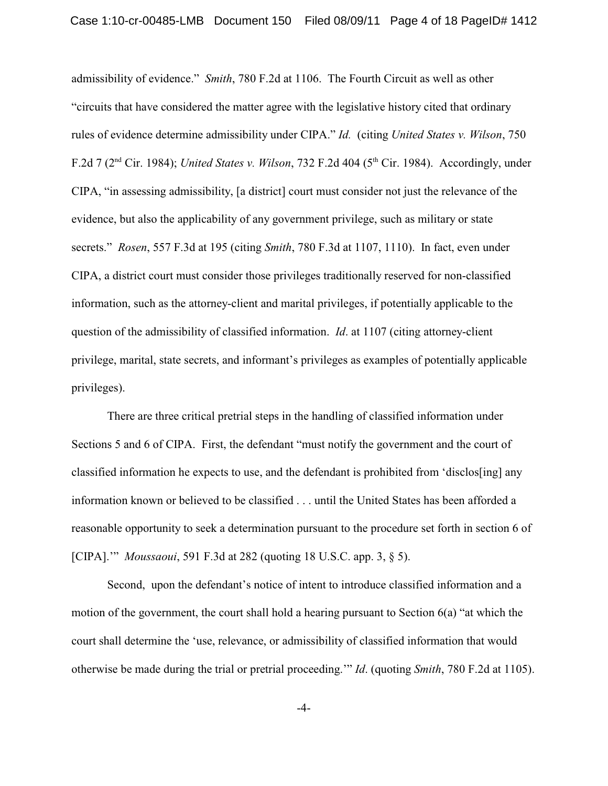admissibility of evidence." *Smith*, 780 F.2d at 1106. The Fourth Circuit as well as other "circuits that have considered the matter agree with the legislative history cited that ordinary rules of evidence determine admissibility under CIPA." *Id.* (citing *United States v. Wilson*, 750 F.2d 7 (2<sup>nd</sup> Cir. 1984); *United States v. Wilson*, 732 F.2d 404 (5<sup>th</sup> Cir. 1984). Accordingly, under CIPA, "in assessing admissibility, [a district] court must consider not just the relevance of the evidence, but also the applicability of any government privilege, such as military or state secrets." *Rosen*, 557 F.3d at 195 (citing *Smith*, 780 F.3d at 1107, 1110). In fact, even under CIPA, a district court must consider those privileges traditionally reserved for non-classified information, such as the attorney-client and marital privileges, if potentially applicable to the question of the admissibility of classified information. *Id*. at 1107 (citing attorney-client privilege, marital, state secrets, and informant's privileges as examples of potentially applicable privileges).

There are three critical pretrial steps in the handling of classified information under Sections 5 and 6 of CIPA. First, the defendant "must notify the government and the court of classified information he expects to use, and the defendant is prohibited from 'disclos[ing] any information known or believed to be classified . . . until the United States has been afforded a reasonable opportunity to seek a determination pursuant to the procedure set forth in section 6 of [CIPA].'" *Moussaoui*, 591 F.3d at 282 (quoting 18 U.S.C. app. 3, § 5).

Second, upon the defendant's notice of intent to introduce classified information and a motion of the government, the court shall hold a hearing pursuant to Section 6(a) "at which the court shall determine the 'use, relevance, or admissibility of classified information that would otherwise be made during the trial or pretrial proceeding.'" *Id*. (quoting *Smith*, 780 F.2d at 1105).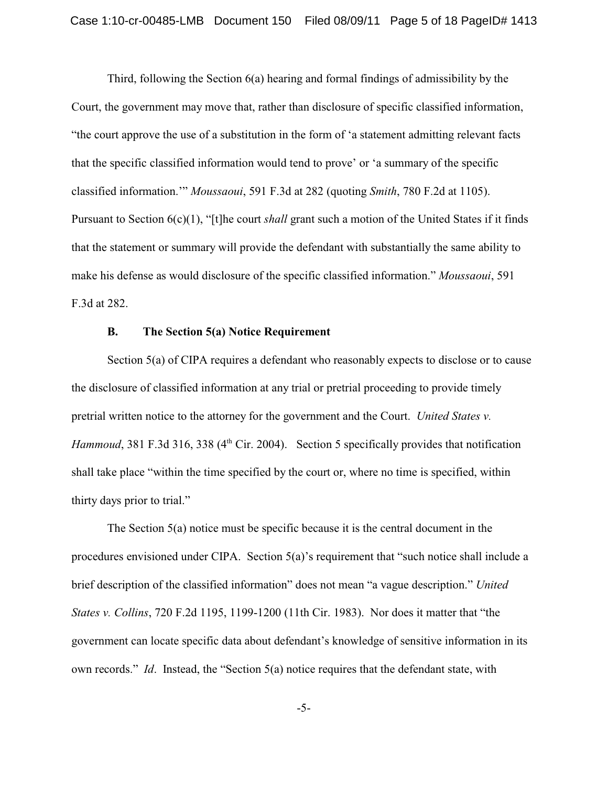Third, following the Section 6(a) hearing and formal findings of admissibility by the Court, the government may move that, rather than disclosure of specific classified information, "the court approve the use of a substitution in the form of 'a statement admitting relevant facts that the specific classified information would tend to prove' or 'a summary of the specific classified information.'" *Moussaoui*, 591 F.3d at 282 (quoting *Smith*, 780 F.2d at 1105). Pursuant to Section 6(c)(1), "[t]he court *shall* grant such a motion of the United States if it finds that the statement or summary will provide the defendant with substantially the same ability to make his defense as would disclosure of the specific classified information." *Moussaoui*, 591 F.3d at 282.

### **B. The Section 5(a) Notice Requirement**

Section 5(a) of CIPA requires a defendant who reasonably expects to disclose or to cause the disclosure of classified information at any trial or pretrial proceeding to provide timely pretrial written notice to the attorney for the government and the Court. *United States v. Hammoud*, 381 F.3d 316, 338 (4<sup>th</sup> Cir. 2004). Section 5 specifically provides that notification shall take place "within the time specified by the court or, where no time is specified, within thirty days prior to trial."

The Section 5(a) notice must be specific because it is the central document in the procedures envisioned under CIPA. Section 5(a)'s requirement that "such notice shall include a brief description of the classified information" does not mean "a vague description." *United States v. Collins*, 720 F.2d 1195, 1199-1200 (11th Cir. 1983). Nor does it matter that "the government can locate specific data about defendant's knowledge of sensitive information in its own records." *Id*. Instead, the "Section 5(a) notice requires that the defendant state, with

-5-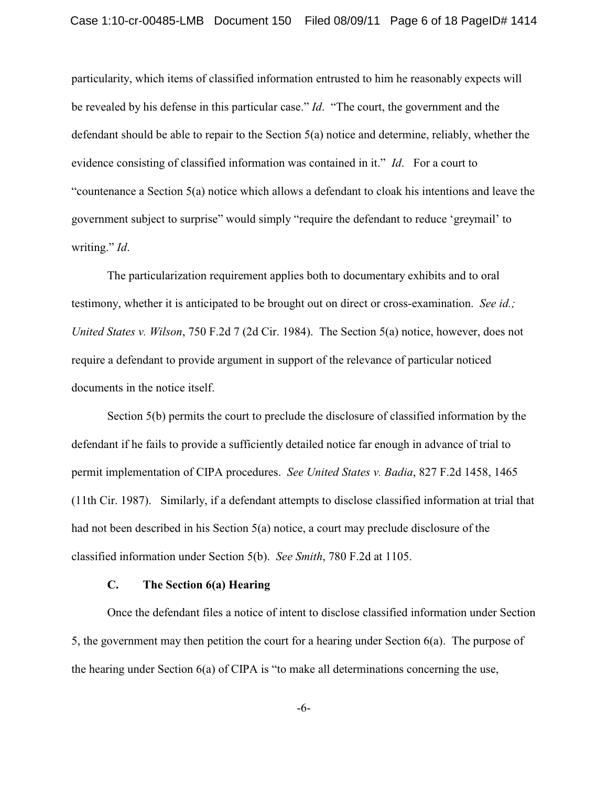particularity, which items of classified information entrusted to him he reasonably expects will be revealed by his defense in this particular case." *Id*. "The court, the government and the defendant should be able to repair to the Section 5(a) notice and determine, reliably, whether the evidence consisting of classified information was contained in it." *Id*. For a court to "countenance a Section 5(a) notice which allows a defendant to cloak his intentions and leave the government subject to surprise" would simply "require the defendant to reduce 'greymail' to writing." *Id*.

The particularization requirement applies both to documentary exhibits and to oral testimony, whether it is anticipated to be brought out on direct or cross-examination. *See id.; United States v. Wilson*, 750 F.2d 7 (2d Cir. 1984). The Section 5(a) notice, however, does not require a defendant to provide argument in support of the relevance of particular noticed documents in the notice itself.

Section 5(b) permits the court to preclude the disclosure of classified information by the defendant if he fails to provide a sufficiently detailed notice far enough in advance of trial to permit implementation of CIPA procedures. *See United States v. Badia*, 827 F.2d 1458, 1465 (11th Cir. 1987). Similarly, if a defendant attempts to disclose classified information at trial that had not been described in his Section 5(a) notice, a court may preclude disclosure of the classified information under Section 5(b). *See Smith*, 780 F.2d at 1105.

### **C. The Section 6(a) Hearing**

Once the defendant files a notice of intent to disclose classified information under Section 5, the government may then petition the court for a hearing under Section 6(a). The purpose of the hearing under Section 6(a) of CIPA is "to make all determinations concerning the use,

-6-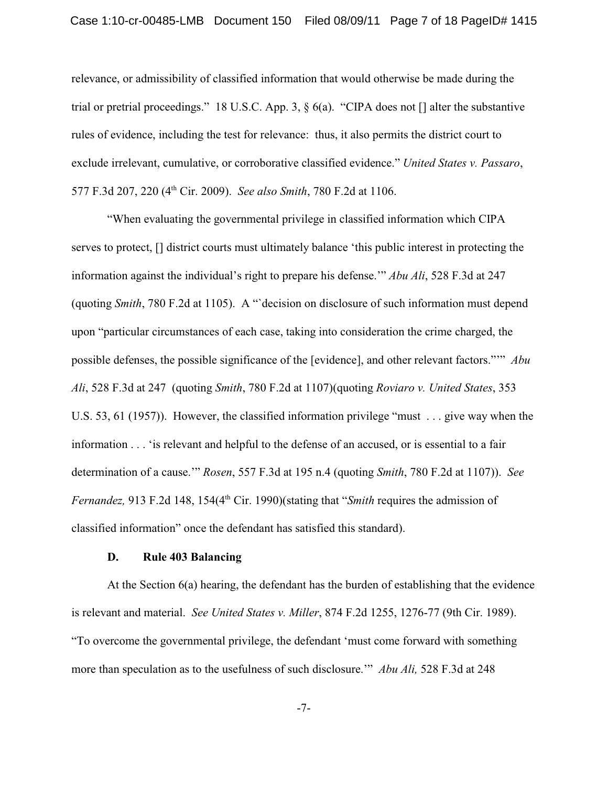relevance, or admissibility of classified information that would otherwise be made during the trial or pretrial proceedings." 18 U.S.C. App. 3, § 6(a). "CIPA does not [] alter the substantive rules of evidence, including the test for relevance: thus, it also permits the district court to exclude irrelevant, cumulative, or corroborative classified evidence." *United States v. Passaro*, 577 F.3d 207, 220 (4<sup>th</sup> Cir. 2009). *See also Smith*, 780 F.2d at 1106.

"When evaluating the governmental privilege in classified information which CIPA serves to protect, [] district courts must ultimately balance 'this public interest in protecting the information against the individual's right to prepare his defense.'" *Abu Ali*, 528 F.3d at 247 (quoting *Smith*, 780 F.2d at 1105). A "`decision on disclosure of such information must depend upon "particular circumstances of each case, taking into consideration the crime charged, the possible defenses, the possible significance of the [evidence], and other relevant factors."'" *Abu Ali*, 528 F.3d at 247 (quoting *Smith*, 780 F.2d at 1107)(quoting *Roviaro v. United States*, 353 U.S. 53, 61 (1957)). However, the classified information privilege "must . . . give way when the information . . . 'is relevant and helpful to the defense of an accused, or is essential to a fair determination of a cause.'" *Rosen*, 557 F.3d at 195 n.4 (quoting *Smith*, 780 F.2d at 1107)). *See Fernandez*, 913 F.2d 148, 154(4<sup>th</sup> Cir. 1990)(stating that "*Smith* requires the admission of classified information" once the defendant has satisfied this standard).

# **D. Rule 403 Balancing**

At the Section 6(a) hearing, the defendant has the burden of establishing that the evidence is relevant and material. *See United States v. Miller*, 874 F.2d 1255, 1276-77 (9th Cir. 1989). "To overcome the governmental privilege, the defendant 'must come forward with something more than speculation as to the usefulness of such disclosure.'" *Abu Ali,* 528 F.3d at 248

-7-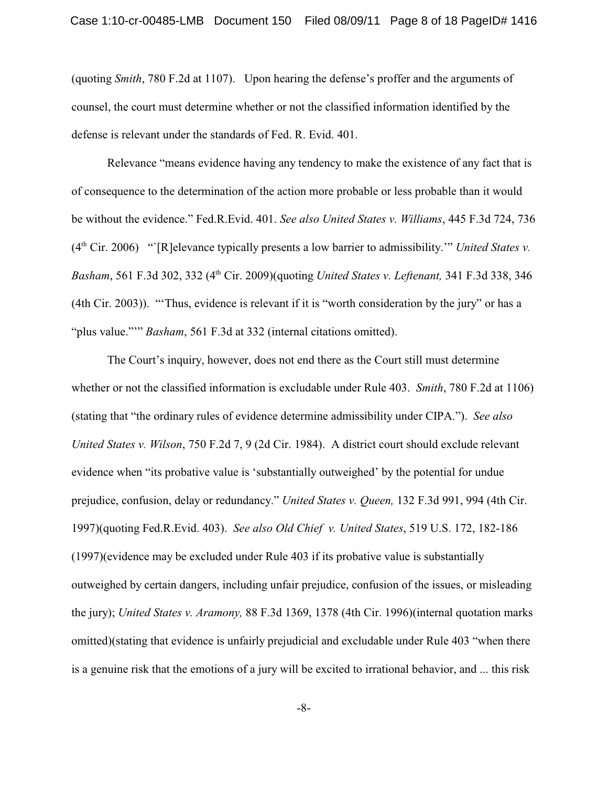(quoting *Smith*, 780 F.2d at 1107). Upon hearing the defense's proffer and the arguments of counsel, the court must determine whether or not the classified information identified by the defense is relevant under the standards of Fed. R. Evid. 401.

Relevance "means evidence having any tendency to make the existence of any fact that is of consequence to the determination of the action more probable or less probable than it would be without the evidence." Fed.R.Evid. 401. *See also United States v. Williams*, 445 F.3d 724, 736 (4<sup>th</sup> Cir. 2006) "`[R]elevance typically presents a low barrier to admissibility.'" *United States v. Basham*, 561 F.3d 302, 332 (4<sup>th</sup> Cir. 2009)(quoting *United States v. Leftenant*, 341 F.3d 338, 346 (4th Cir. 2003)). "'Thus, evidence is relevant if it is "worth consideration by the jury" or has a "plus value."'" *Basham*, 561 F.3d at 332 (internal citations omitted).

The Court's inquiry, however, does not end there as the Court still must determine whether or not the classified information is excludable under Rule 403. *Smith*, 780 F.2d at 1106) (stating that "the ordinary rules of evidence determine admissibility under CIPA."). *See also United States v. Wilson*, 750 F.2d 7, 9 (2d Cir. 1984). A district court should exclude relevant evidence when "its probative value is 'substantially outweighed' by the potential for undue prejudice, confusion, delay or redundancy." *United States v. Queen,* 132 F.3d 991, 994 (4th Cir. 1997)(quoting Fed.R.Evid. 403). *See also Old Chief v. United States*, 519 U.S. 172, 182-186 (1997)(evidence may be excluded under Rule 403 if its probative value is substantially outweighed by certain dangers, including unfair prejudice, confusion of the issues, or misleading the jury); *United States v. Aramony,* 88 F.3d 1369, 1378 (4th Cir. 1996)(internal quotation marks omitted)(stating that evidence is unfairly prejudicial and excludable under Rule 403 "when there is a genuine risk that the emotions of a jury will be excited to irrational behavior, and ... this risk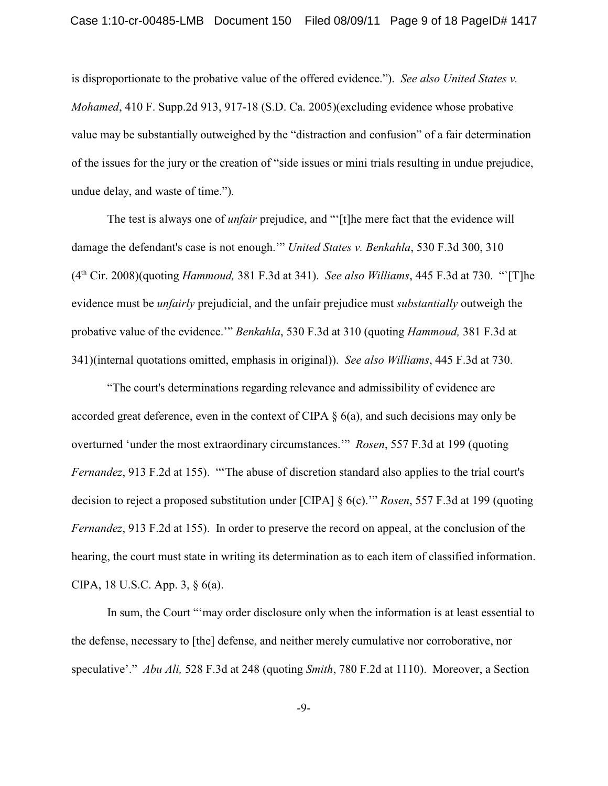is disproportionate to the probative value of the offered evidence."). *See also United States v. Mohamed*, 410 F. Supp.2d 913, 917-18 (S.D. Ca. 2005)(excluding evidence whose probative value may be substantially outweighed by the "distraction and confusion" of a fair determination of the issues for the jury or the creation of "side issues or mini trials resulting in undue prejudice, undue delay, and waste of time.").

The test is always one of *unfair* prejudice, and "'[t]he mere fact that the evidence will damage the defendant's case is not enough.'" *United States v. Benkahla*, 530 F.3d 300, 310  $(4<sup>th</sup> Cir. 2008)($ quoting *Hammoud*, 381 F.3d at 341). *See also Williams*, 445 F.3d at 730. "<sup>The</sup> evidence must be *unfairly* prejudicial, and the unfair prejudice must *substantially* outweigh the probative value of the evidence.'" *Benkahla*, 530 F.3d at 310 (quoting *Hammoud,* 381 F.3d at 341)(internal quotations omitted, emphasis in original)). *See also Williams*, 445 F.3d at 730.

"The court's determinations regarding relevance and admissibility of evidence are accorded great deference, even in the context of CIPA § 6(a), and such decisions may only be overturned 'under the most extraordinary circumstances.'" *Rosen*, 557 F.3d at 199 (quoting *Fernandez*, 913 F.2d at 155). "'The abuse of discretion standard also applies to the trial court's decision to reject a proposed substitution under [CIPA] § 6(c).'" *Rosen*, 557 F.3d at 199 (quoting *Fernandez*, 913 F.2d at 155). In order to preserve the record on appeal, at the conclusion of the hearing, the court must state in writing its determination as to each item of classified information. CIPA, 18 U.S.C. App. 3, § 6(a).

In sum, the Court "'may order disclosure only when the information is at least essential to the defense, necessary to [the] defense, and neither merely cumulative nor corroborative, nor speculative'." *Abu Ali,* 528 F.3d at 248 (quoting *Smith*, 780 F.2d at 1110). Moreover, a Section

-9-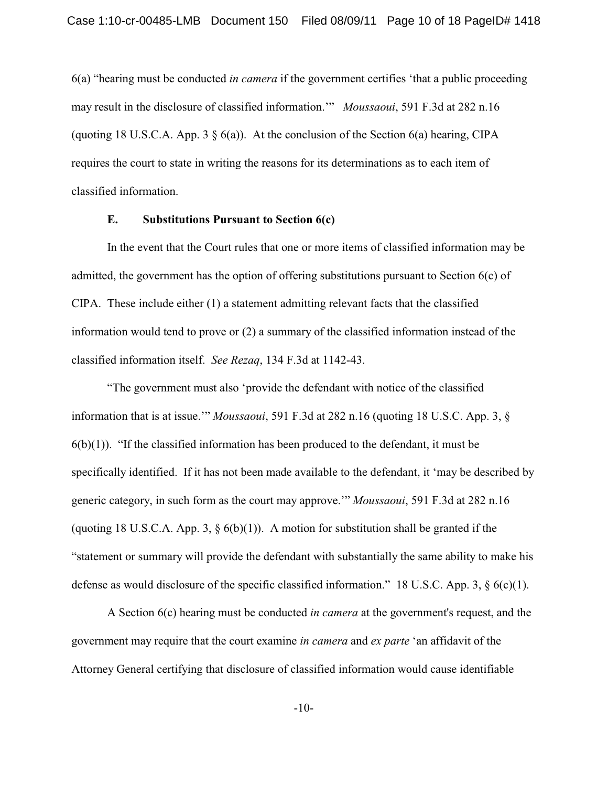6(a) "hearing must be conducted *in camera* if the government certifies 'that a public proceeding may result in the disclosure of classified information.'" *Moussaoui*, 591 F.3d at 282 n.16 (quoting 18 U.S.C.A. App. 3  $\S$  6(a)). At the conclusion of the Section 6(a) hearing, CIPA requires the court to state in writing the reasons for its determinations as to each item of classified information.

# **E. Substitutions Pursuant to Section 6(c)**

In the event that the Court rules that one or more items of classified information may be admitted, the government has the option of offering substitutions pursuant to Section 6(c) of CIPA. These include either (1) a statement admitting relevant facts that the classified information would tend to prove or (2) a summary of the classified information instead of the classified information itself. *See Rezaq*, 134 F.3d at 1142-43.

 "The government must also 'provide the defendant with notice of the classified information that is at issue.'" *Moussaoui*, 591 F.3d at 282 n.16 (quoting 18 U.S.C. App. 3, §  $6(b)(1)$ . "If the classified information has been produced to the defendant, it must be specifically identified. If it has not been made available to the defendant, it 'may be described by generic category, in such form as the court may approve.'" *Moussaoui*, 591 F.3d at 282 n.16 (quoting 18 U.S.C.A. App. 3,  $\S$  6(b)(1)). A motion for substitution shall be granted if the "statement or summary will provide the defendant with substantially the same ability to make his defense as would disclosure of the specific classified information." 18 U.S.C. App. 3, § 6(c)(1).

A Section 6(c) hearing must be conducted *in camera* at the government's request, and the government may require that the court examine *in camera* and *ex parte* 'an affidavit of the Attorney General certifying that disclosure of classified information would cause identifiable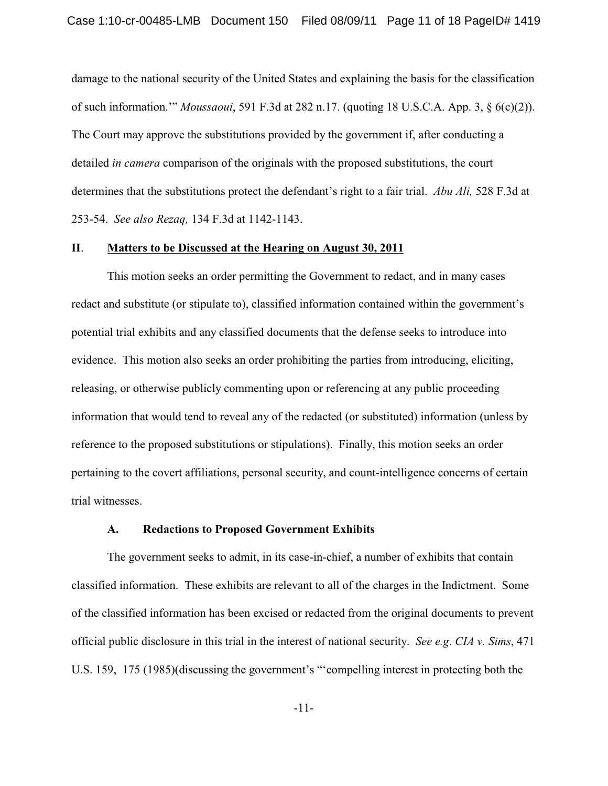damage to the national security of the United States and explaining the basis for the classification of such information.'" *Moussaoui*, 591 F.3d at 282 n.17. (quoting 18 U.S.C.A. App. 3, § 6(c)(2)). The Court may approve the substitutions provided by the government if, after conducting a detailed *in camera* comparison of the originals with the proposed substitutions, the court determines that the substitutions protect the defendant's right to a fair trial. *Abu Ali,* 528 F.3d at 253-54. *See also Rezaq,* 134 F.3d at 1142-1143.

# **II**. **Matters to be Discussed at the Hearing on August 30, 2011**

This motion seeks an order permitting the Government to redact, and in many cases redact and substitute (or stipulate to), classified information contained within the government's potential trial exhibits and any classified documents that the defense seeks to introduce into evidence. This motion also seeks an order prohibiting the parties from introducing, eliciting, releasing, or otherwise publicly commenting upon or referencing at any public proceeding information that would tend to reveal any of the redacted (or substituted) information (unless by reference to the proposed substitutions or stipulations). Finally, this motion seeks an order pertaining to the covert affiliations, personal security, and count-intelligence concerns of certain trial witnesses.

### **A. Redactions to Proposed Government Exhibits**

The government seeks to admit, in its case-in-chief, a number of exhibits that contain classified information. These exhibits are relevant to all of the charges in the Indictment. Some of the classified information has been excised or redacted from the original documents to prevent official public disclosure in this trial in the interest of national security. *See e.g*. *CIA v. Sims*, 471 U.S. 159, 175 (1985)(discussing the government's "'compelling interest in protecting both the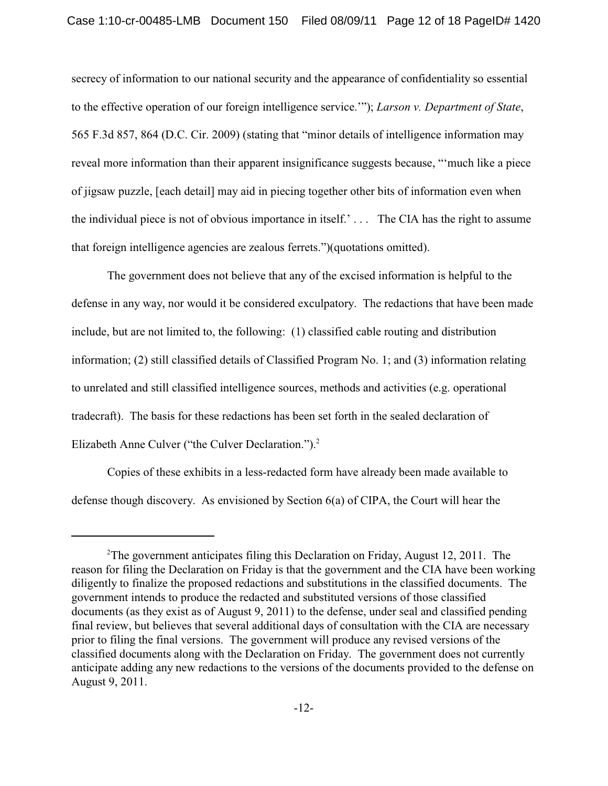secrecy of information to our national security and the appearance of confidentiality so essential to the effective operation of our foreign intelligence service.'"); *Larson v. Department of State*, 565 F.3d 857, 864 (D.C. Cir. 2009) (stating that "minor details of intelligence information may reveal more information than their apparent insignificance suggests because, "'much like a piece of jigsaw puzzle, [each detail] may aid in piecing together other bits of information even when the individual piece is not of obvious importance in itself.' . . . The CIA has the right to assume that foreign intelligence agencies are zealous ferrets.")(quotations omitted).

The government does not believe that any of the excised information is helpful to the defense in any way, nor would it be considered exculpatory. The redactions that have been made include, but are not limited to, the following: (1) classified cable routing and distribution information; (2) still classified details of Classified Program No. 1; and (3) information relating to unrelated and still classified intelligence sources, methods and activities (e.g. operational tradecraft). The basis for these redactions has been set forth in the sealed declaration of Elizabeth Anne Culver ("the Culver Declaration.").<sup>2</sup>

Copies of these exhibits in a less-redacted form have already been made available to defense though discovery. As envisioned by Section 6(a) of CIPA, the Court will hear the

<sup>&</sup>lt;sup>2</sup>The government anticipates filing this Declaration on Friday, August 12, 2011. The reason for filing the Declaration on Friday is that the government and the CIA have been working diligently to finalize the proposed redactions and substitutions in the classified documents. The government intends to produce the redacted and substituted versions of those classified documents (as they exist as of August 9, 2011) to the defense, under seal and classified pending final review, but believes that several additional days of consultation with the CIA are necessary prior to filing the final versions. The government will produce any revised versions of the classified documents along with the Declaration on Friday. The government does not currently anticipate adding any new redactions to the versions of the documents provided to the defense on August 9, 2011.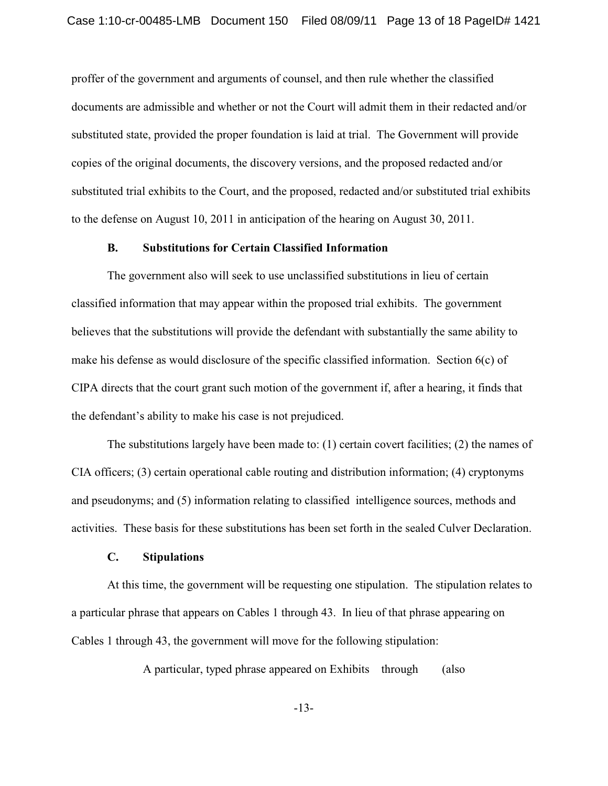proffer of the government and arguments of counsel, and then rule whether the classified documents are admissible and whether or not the Court will admit them in their redacted and/or substituted state, provided the proper foundation is laid at trial. The Government will provide copies of the original documents, the discovery versions, and the proposed redacted and/or substituted trial exhibits to the Court, and the proposed, redacted and/or substituted trial exhibits to the defense on August 10, 2011 in anticipation of the hearing on August 30, 2011.

# **B. Substitutions for Certain Classified Information**

The government also will seek to use unclassified substitutions in lieu of certain classified information that may appear within the proposed trial exhibits. The government believes that the substitutions will provide the defendant with substantially the same ability to make his defense as would disclosure of the specific classified information. Section 6(c) of CIPA directs that the court grant such motion of the government if, after a hearing, it finds that the defendant's ability to make his case is not prejudiced.

The substitutions largely have been made to: (1) certain covert facilities; (2) the names of CIA officers; (3) certain operational cable routing and distribution information; (4) cryptonyms and pseudonyms; and (5) information relating to classified intelligence sources, methods and activities. These basis for these substitutions has been set forth in the sealed Culver Declaration.

### **C. Stipulations**

At this time, the government will be requesting one stipulation. The stipulation relates to a particular phrase that appears on Cables 1 through 43. In lieu of that phrase appearing on Cables 1 through 43, the government will move for the following stipulation:

A particular, typed phrase appeared on Exhibits through (also

-13-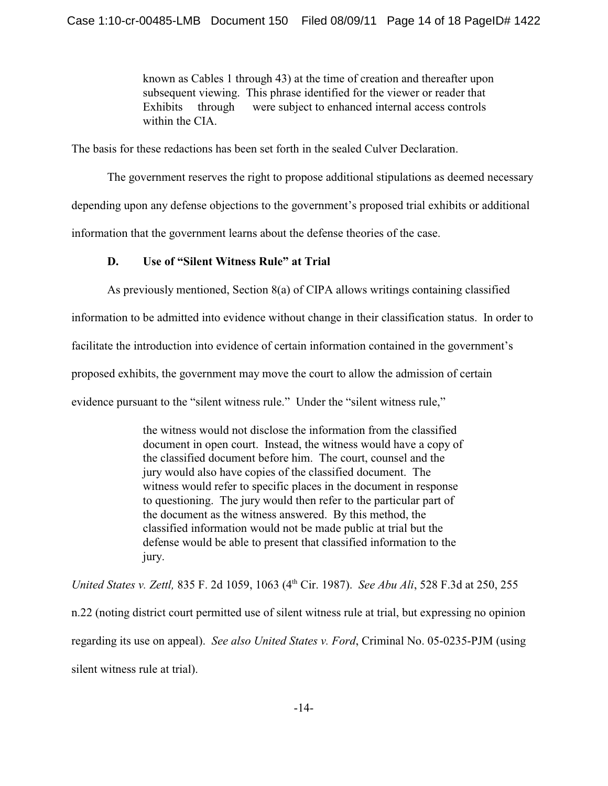known as Cables 1 through 43) at the time of creation and thereafter upon subsequent viewing. This phrase identified for the viewer or reader that Exhibits through were subject to enhanced internal access controls within the CIA.

The basis for these redactions has been set forth in the sealed Culver Declaration.

The government reserves the right to propose additional stipulations as deemed necessary

depending upon any defense objections to the government's proposed trial exhibits or additional

information that the government learns about the defense theories of the case.

# **D. Use of "Silent Witness Rule" at Trial**

As previously mentioned, Section 8(a) of CIPA allows writings containing classified

information to be admitted into evidence without change in their classification status. In order to

facilitate the introduction into evidence of certain information contained in the government's

proposed exhibits, the government may move the court to allow the admission of certain

evidence pursuant to the "silent witness rule." Under the "silent witness rule,"

the witness would not disclose the information from the classified document in open court. Instead, the witness would have a copy of the classified document before him. The court, counsel and the jury would also have copies of the classified document. The witness would refer to specific places in the document in response to questioning. The jury would then refer to the particular part of the document as the witness answered. By this method, the classified information would not be made public at trial but the defense would be able to present that classified information to the jury.

*United States v. Zettl, 835 F. 2d 1059, 1063 (4<sup>th</sup> Cir. 1987). <i>See Abu Ali, 528 F.3d at 250, 255* n.22 (noting district court permitted use of silent witness rule at trial, but expressing no opinion regarding its use on appeal). *See also United States v. Ford*, Criminal No. 05-0235-PJM (using silent witness rule at trial).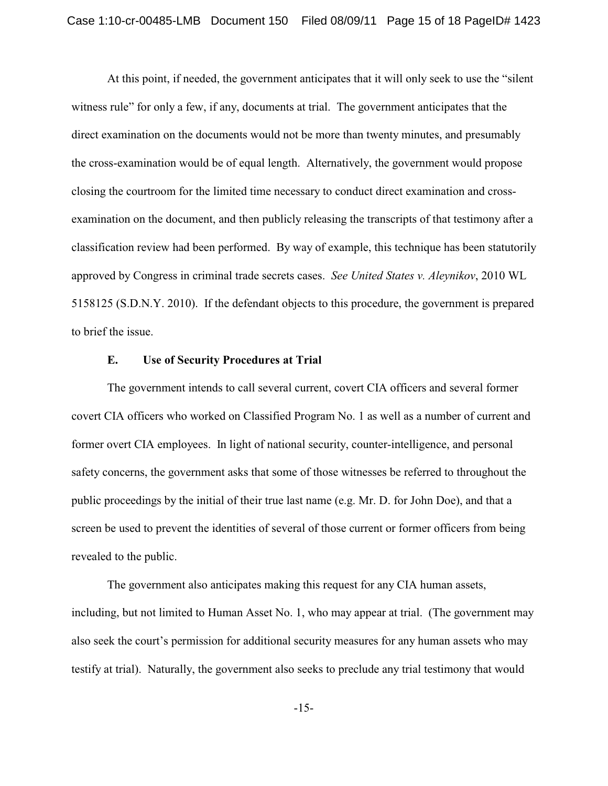At this point, if needed, the government anticipates that it will only seek to use the "silent witness rule" for only a few, if any, documents at trial. The government anticipates that the direct examination on the documents would not be more than twenty minutes, and presumably the cross-examination would be of equal length. Alternatively, the government would propose closing the courtroom for the limited time necessary to conduct direct examination and crossexamination on the document, and then publicly releasing the transcripts of that testimony after a classification review had been performed. By way of example, this technique has been statutorily approved by Congress in criminal trade secrets cases. *See United States v. Aleynikov*, 2010 WL 5158125 (S.D.N.Y. 2010). If the defendant objects to this procedure, the government is prepared to brief the issue.

# **E. Use of Security Procedures at Trial**

The government intends to call several current, covert CIA officers and several former covert CIA officers who worked on Classified Program No. 1 as well as a number of current and former overt CIA employees. In light of national security, counter-intelligence, and personal safety concerns, the government asks that some of those witnesses be referred to throughout the public proceedings by the initial of their true last name (e.g. Mr. D. for John Doe), and that a screen be used to prevent the identities of several of those current or former officers from being revealed to the public.

The government also anticipates making this request for any CIA human assets, including, but not limited to Human Asset No. 1, who may appear at trial. (The government may also seek the court's permission for additional security measures for any human assets who may testify at trial). Naturally, the government also seeks to preclude any trial testimony that would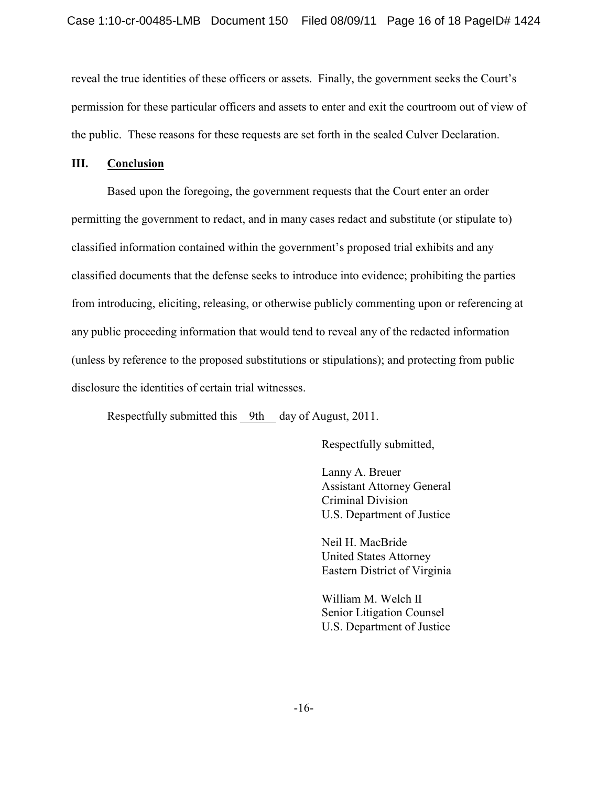reveal the true identities of these officers or assets. Finally, the government seeks the Court's permission for these particular officers and assets to enter and exit the courtroom out of view of the public. These reasons for these requests are set forth in the sealed Culver Declaration.

# **III. Conclusion**

Based upon the foregoing, the government requests that the Court enter an order permitting the government to redact, and in many cases redact and substitute (or stipulate to) classified information contained within the government's proposed trial exhibits and any classified documents that the defense seeks to introduce into evidence; prohibiting the parties from introducing, eliciting, releasing, or otherwise publicly commenting upon or referencing at any public proceeding information that would tend to reveal any of the redacted information (unless by reference to the proposed substitutions or stipulations); and protecting from public disclosure the identities of certain trial witnesses.

Respectfully submitted this 9th day of August, 2011.

Respectfully submitted,

Lanny A. Breuer Assistant Attorney General Criminal Division U.S. Department of Justice

Neil H. MacBride United States Attorney Eastern District of Virginia

William M. Welch II Senior Litigation Counsel U.S. Department of Justice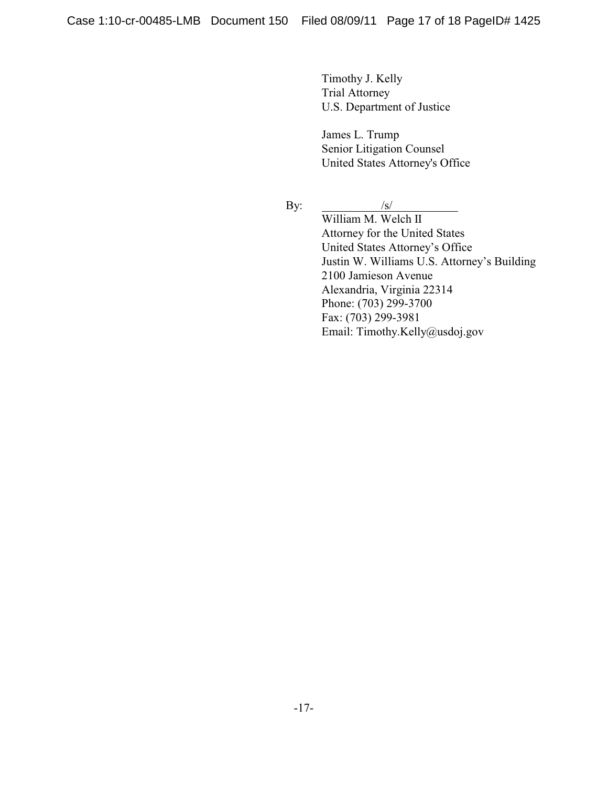Timothy J. Kelly Trial Attorney U.S. Department of Justice

James L. Trump Senior Litigation Counsel United States Attorney's Office

By:  $/s/$ 

William M. Welch II Attorney for the United States United States Attorney's Office Justin W. Williams U.S. Attorney's Building 2100 Jamieson Avenue Alexandria, Virginia 22314 Phone: (703) 299-3700 Fax: (703) 299-3981 Email: Timothy.Kelly@usdoj.gov